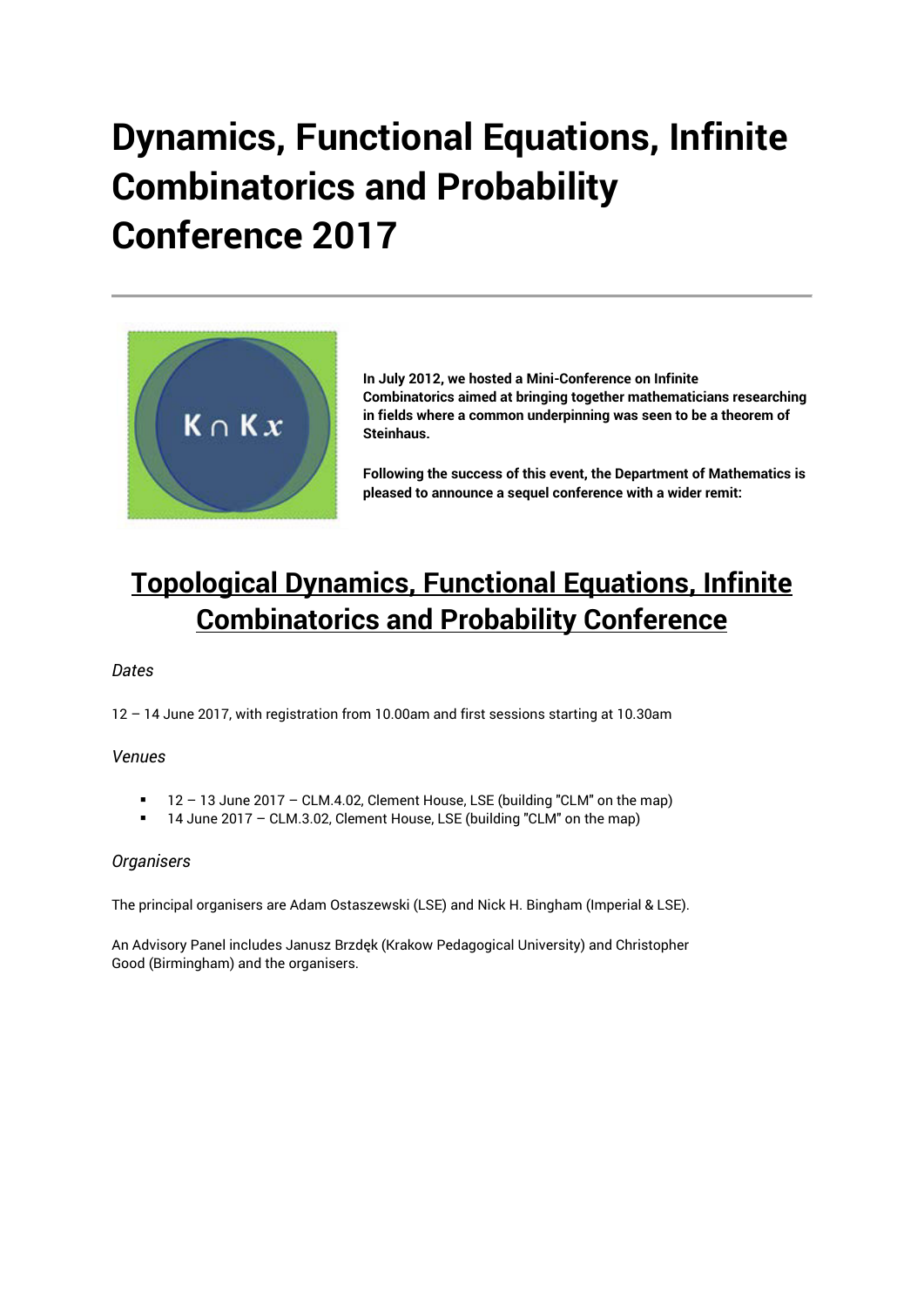## **Dynamics, Functional Equations, Infinite Combinatorics and Probability Conference 2017**



**In July 2012, we hosted a Mini-Conference on Infinite Combinatorics aimed at bringing together mathematicians researching in fields where a common underpinning was seen to be a theorem of Steinhaus.**

**Following the success of this event, the Department of Mathematics is pleased to announce a sequel conference with a wider remit:** 

## **Topological Dynamics, Functional Equations, Infinite Combinatorics and Probability Conference**

### *Dates*

12 – 14 June 2017, with registration from 10.00am and first sessions starting at 10.30am

### *Venues*

- 12 13 June 2017 CLM.4.02, Clement House, LSE (building "CLM" on the map)
- 14 June 2017 CLM.3.02, Clement House, LSE (building "CLM" on the map)

### *Organisers*

The principal organisers are Adam Ostaszewski (LSE) and Nick H. Bingham (Imperial & LSE).

An Advisory Panel includes Janusz Brzdęk (Krakow Pedagogical University) and Christopher Good (Birmingham) and the organisers.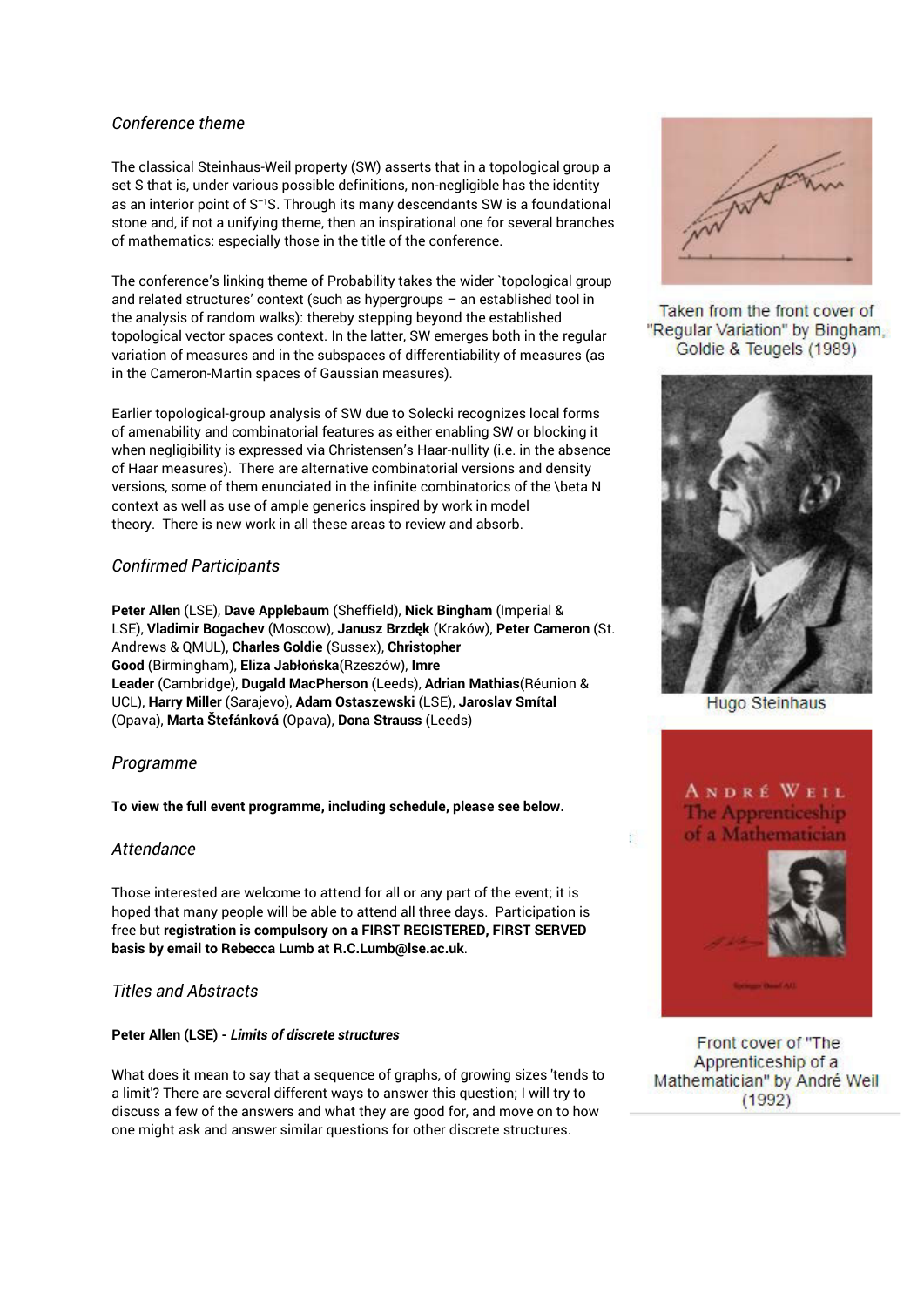### *Conference theme*

The classical Steinhaus-Weil property (SW) asserts that in a topological group a set S that is, under various possible definitions, non-negligible has the identity as an interior point of  $S<sup>-1</sup>S$ . Through its many descendants SW is a foundational stone and, if not a unifying theme, then an inspirational one for several branches of mathematics: especially those in the title of the conference.

The conference's linking theme of Probability takes the wider `topological group and related structures' context (such as hypergroups – an established tool in the analysis of random walks): thereby stepping beyond the established topological vector spaces context. In the latter, SW emerges both in the regular variation of measures and in the subspaces of differentiability of measures (as in the Cameron-Martin spaces of Gaussian measures).

Earlier topological-group analysis of SW due to Solecki recognizes local forms of amenability and combinatorial features as either enabling SW or blocking it when negligibility is expressed via Christensen's Haar-nullity (i.e. in the absence of Haar measures). There are alternative combinatorial versions and density versions, some of them enunciated in the infinite combinatorics of the \beta N context as well as use of ample generics inspired by work in model theory. There is new work in all these areas to review and absorb.

### *Confirmed Participants*

**Peter Allen** (LSE), **Dave Applebaum** (Sheffield), **Nick Bingham** (Imperial & LSE), **Vladimir Bogachev** (Moscow), **Janusz Brzdęk** (Kraków), **Peter Cameron** (St. Andrews & QMUL), **Charles Goldie** (Sussex), **Christopher Good** (Birmingham), **Eliza Jabłońska**(Rzeszów), **Imre Leader** (Cambridge), **Dugald MacPherson** (Leeds), **Adrian Mathias**(Réunion & UCL), **Harry Miller** (Sarajevo), **Adam Ostaszewski** (LSE), **Jaroslav Smítal** (Opava), **Marta Štefánková** (Opava), **Dona Strauss** (Leeds)

### *Programme*

**To view the full event programme, including schedule, please see below.** 

### *Attendance*

Those interested are welcome to attend for all or any part of the event; it is hoped that many people will be able to attend all three days. Participation is free but **registration is compulsory on a FIRST REGISTERED, FIRST SERVED basis by email to Rebecca Lumb at R.C.Lumb@lse.ac.uk**.

### *Titles and Abstracts*

#### **Peter Allen (LSE) -** *Limits of discrete structures*

What does it mean to say that a sequence of graphs, of growing sizes 'tends to a limit'? There are several different ways to answer this question; I will try to discuss a few of the answers and what they are good for, and move on to how one might ask and answer similar questions for other discrete structures.



Taken from the front cover of "Regular Variation" by Bingham, Goldie & Teugels (1989)



**Hugo Steinhaus** 

**ANDRÉ WEIL** The Apprenticeship of a Mathematician

k.



Front cover of "The Apprenticeship of a Mathematician" by André Weil  $(1992)$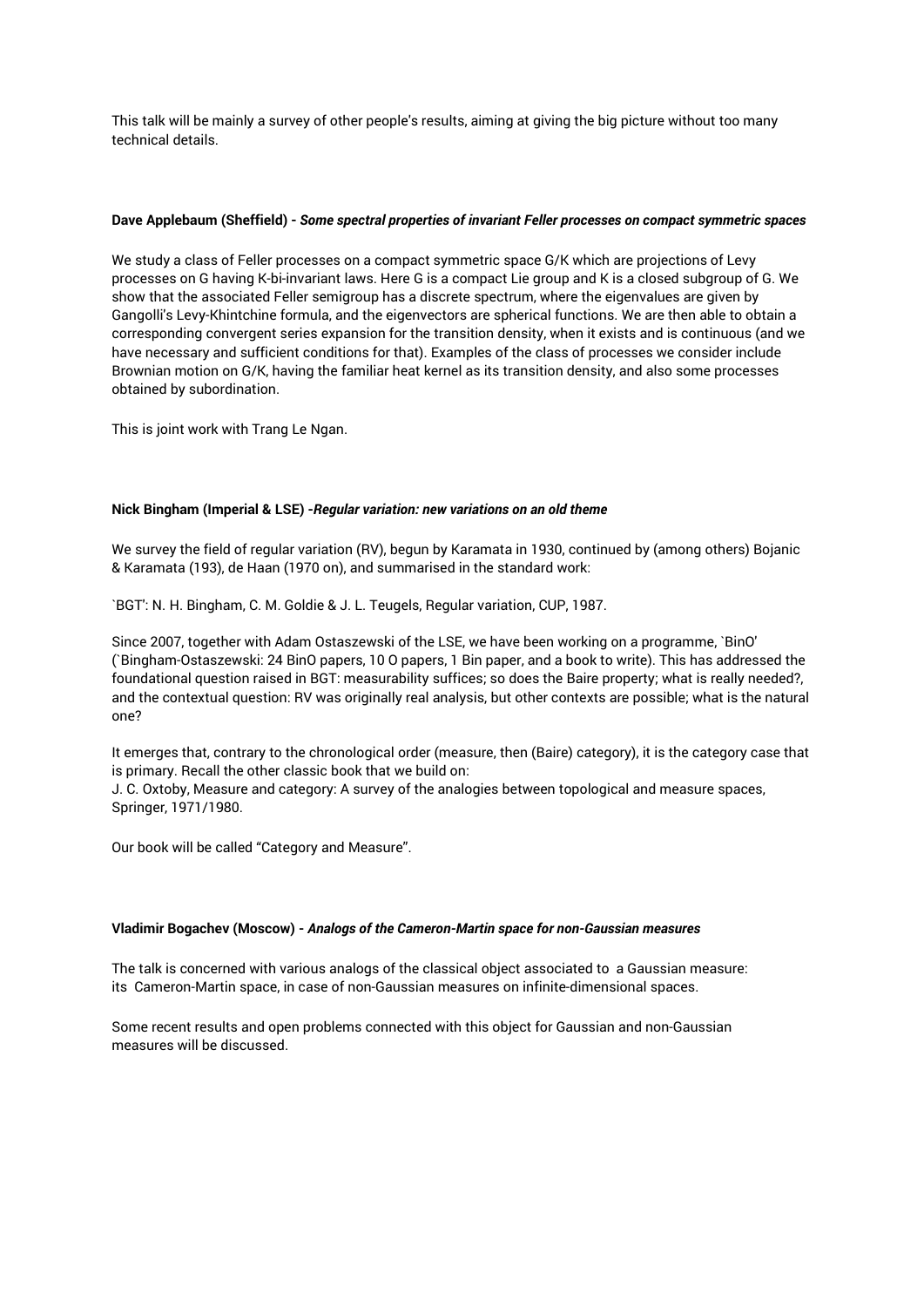This talk will be mainly a survey of other people's results, aiming at giving the big picture without too many technical details.

#### **Dave Applebaum (Sheffield) -** *Some spectral properties of invariant Feller processes on compact symmetric spaces*

We study a class of Feller processes on a compact symmetric space G/K which are projections of Levy processes on G having K-bi-invariant laws. Here G is a compact Lie group and K is a closed subgroup of G. We show that the associated Feller semigroup has a discrete spectrum, where the eigenvalues are given by Gangolli's Levy-Khintchine formula, and the eigenvectors are spherical functions. We are then able to obtain a corresponding convergent series expansion for the transition density, when it exists and is continuous (and we have necessary and sufficient conditions for that). Examples of the class of processes we consider include Brownian motion on G/K, having the familiar heat kernel as its transition density, and also some processes obtained by subordination.

This is joint work with Trang Le Ngan.

#### **Nick Bingham (Imperial & LSE) -***Regular variation: new variations on an old theme*

We survey the field of regular variation (RV), begun by Karamata in 1930, continued by (among others) Bojanic & Karamata (193), de Haan (1970 on), and summarised in the standard work:

`BGT': N. H. Bingham, C. M. Goldie & J. L. Teugels, Regular variation, CUP, 1987.

Since 2007, together with Adam Ostaszewski of the LSE, we have been working on a programme, `BinO' (`Bingham-Ostaszewski: 24 BinO papers, 10 O papers, 1 Bin paper, and a book to write). This has addressed the foundational question raised in BGT: measurability suffices; so does the Baire property; what is really needed?, and the contextual question: RV was originally real analysis, but other contexts are possible; what is the natural one?

It emerges that, contrary to the chronological order (measure, then (Baire) category), it is the category case that is primary. Recall the other classic book that we build on:

J. C. Oxtoby, Measure and category: A survey of the analogies between topological and measure spaces, Springer, 1971/1980.

Our book will be called "Category and Measure".

#### **Vladimir Bogachev (Moscow) -** *Analogs of the Cameron-Martin space for non-Gaussian measures*

The talk is concerned with various analogs of the classical object associated to a Gaussian measure: its Cameron-Martin space, in case of non-Gaussian measures on infinite-dimensional spaces.

Some recent results and open problems connected with this object for Gaussian and non-Gaussian measures will be discussed.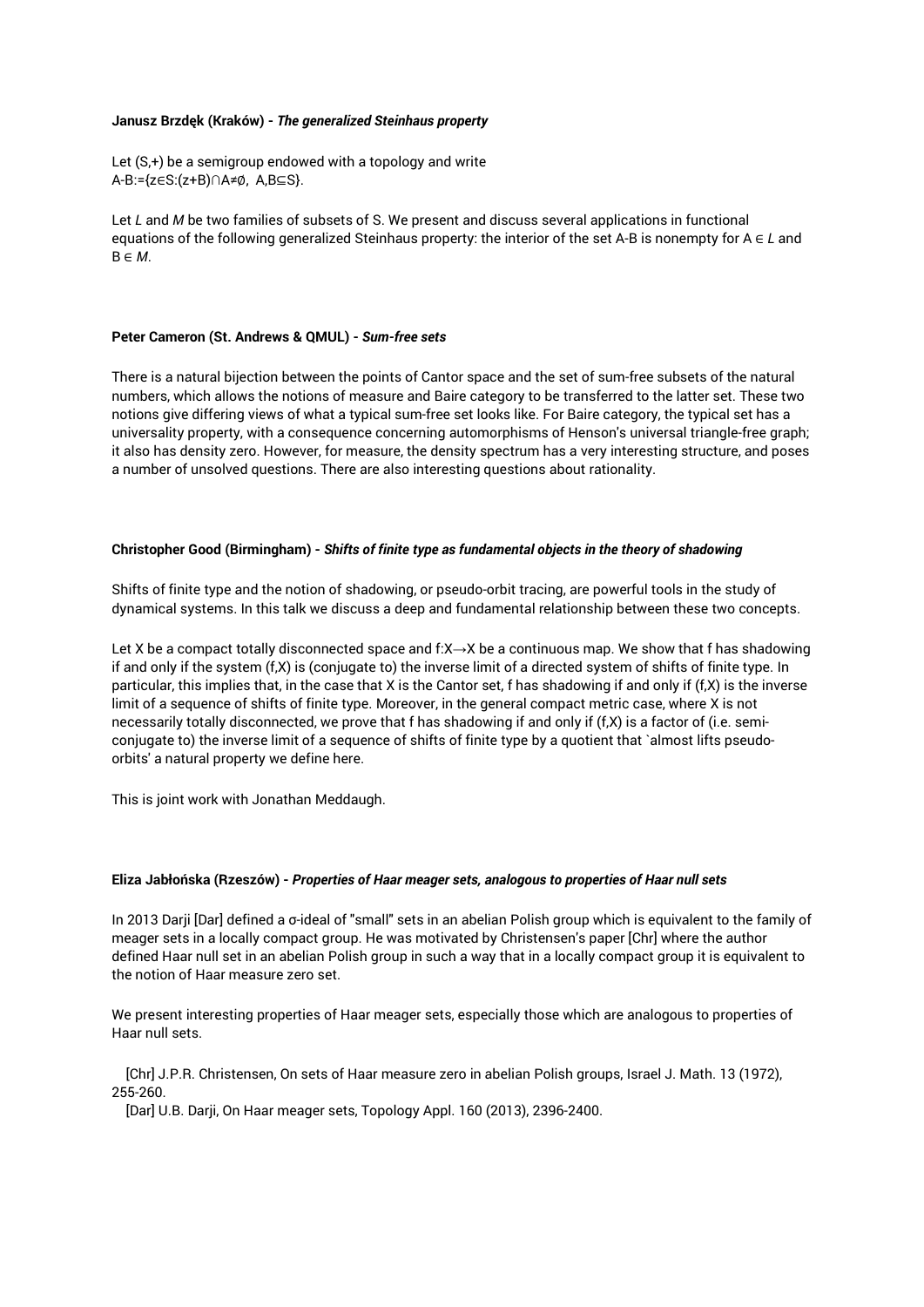#### **Janusz Brzdęk (Kraków) -** *The generalized Steinhaus property*

```
Let (S,+) be a semigroup endowed with a topology and write
A-B:={z∈S:(z+B)∩A≠∅, A,B⊆S}.
```
Let *L* and *M* be two families of subsets of S. We present and discuss several applications in functional equations of the following generalized Steinhaus property: the interior of the set A-B is nonempty for A ∈ *L* and B ∈ *M*.

#### **Peter Cameron (St. Andrews & QMUL) -** *Sum-free sets*

There is a natural bijection between the points of Cantor space and the set of sum-free subsets of the natural numbers, which allows the notions of measure and Baire category to be transferred to the latter set. These two notions give differing views of what a typical sum-free set looks like. For Baire category, the typical set has a universality property, with a consequence concerning automorphisms of Henson's universal triangle-free graph; it also has density zero. However, for measure, the density spectrum has a very interesting structure, and poses a number of unsolved questions. There are also interesting questions about rationality.

#### **Christopher Good (Birmingham) -** *Shifts of finite type as fundamental objects in the theory of shadowing*

Shifts of finite type and the notion of shadowing, or pseudo-orbit tracing, are powerful tools in the study of dynamical systems. In this talk we discuss a deep and fundamental relationship between these two concepts.

Let X be a compact totally disconnected space and f:X→X be a continuous map. We show that f has shadowing if and only if the system (f,X) is (conjugate to) the inverse limit of a directed system of shifts of finite type. In particular, this implies that, in the case that X is the Cantor set, f has shadowing if and only if (f,X) is the inverse limit of a sequence of shifts of finite type. Moreover, in the general compact metric case, where X is not necessarily totally disconnected, we prove that f has shadowing if and only if (f,X) is a factor of (i.e. semiconjugate to) the inverse limit of a sequence of shifts of finite type by a quotient that `almost lifts pseudoorbits' a natural property we define here.

This is joint work with Jonathan Meddaugh.

#### **Eliza Jabłońska (Rzeszów) -** *Properties of Haar meager sets, analogous to properties of Haar null sets*

In 2013 Darji [Dar] defined a σ-ideal of "small" sets in an abelian Polish group which is equivalent to the family of meager sets in a locally compact group. He was motivated by Christensen's paper [Chr] where the author defined Haar null set in an abelian Polish group in such a way that in a locally compact group it is equivalent to the notion of Haar measure zero set.

We present interesting properties of Haar meager sets, especially those which are analogous to properties of Haar null sets.

 [Chr] J.P.R. Christensen, On sets of Haar measure zero in abelian Polish groups, Israel J. Math. 13 (1972), 255-260.

[Dar] U.B. Darji, On Haar meager sets, Topology Appl. 160 (2013), 2396-2400.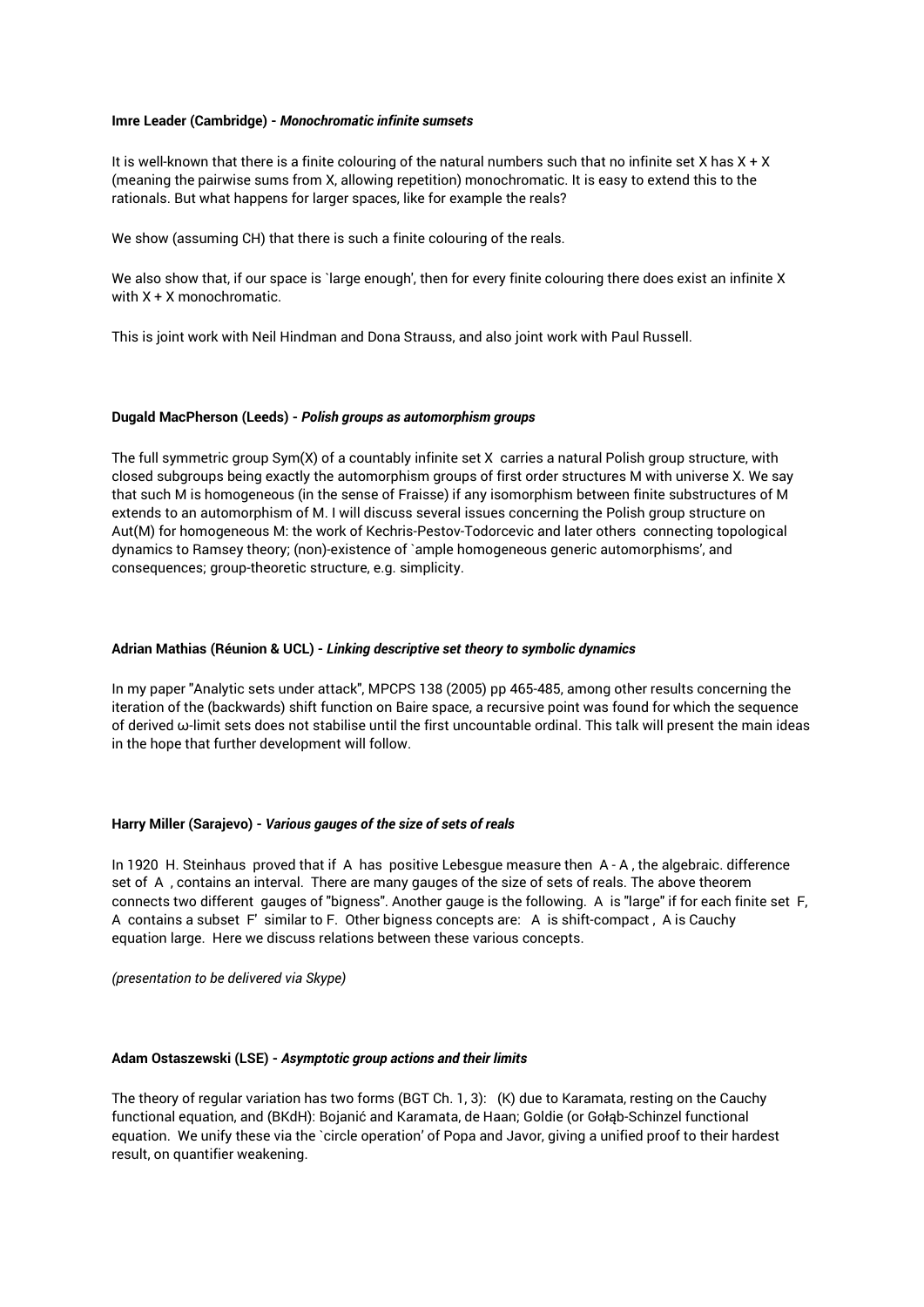#### **Imre Leader (Cambridge) -** *Monochromatic infinite sumsets*

It is well-known that there is a finite colouring of the natural numbers such that no infinite set X has  $X + X$ (meaning the pairwise sums from X, allowing repetition) monochromatic. It is easy to extend this to the rationals. But what happens for larger spaces, like for example the reals?

We show (assuming CH) that there is such a finite colouring of the reals.

We also show that, if our space is `large enough', then for every finite colouring there does exist an infinite X with X + X monochromatic.

This is joint work with Neil Hindman and Dona Strauss, and also joint work with Paul Russell.

#### **Dugald MacPherson (Leeds) -** *Polish groups as automorphism groups*

The full symmetric group Sym(X) of a countably infinite set X carries a natural Polish group structure, with closed subgroups being exactly the automorphism groups of first order structures M with universe X. We say that such M is homogeneous (in the sense of Fraisse) if any isomorphism between finite substructures of M extends to an automorphism of M. I will discuss several issues concerning the Polish group structure on Aut(M) for homogeneous M: the work of Kechris-Pestov-Todorcevic and later others connecting topological dynamics to Ramsey theory; (non)-existence of `ample homogeneous generic automorphisms', and consequences; group-theoretic structure, e.g. simplicity.

#### **Adrian Mathias (Réunion & UCL) -** *Linking descriptive set theory to symbolic dynamics*

In my paper "Analytic sets under attack", MPCPS 138 (2005) pp 465-485, among other results concerning the iteration of the (backwards) shift function on Baire space, a recursive point was found for which the sequence of derived  $\omega$ -limit sets does not stabilise until the first uncountable ordinal. This talk will present the main ideas in the hope that further development will follow.

#### **Harry Miller (Sarajevo) -** *Various gauges of the size of sets of reals*

In 1920 H. Steinhaus proved that if A has positive Lebesgue measure then A - A, the algebraic. difference set of A , contains an interval. There are many gauges of the size of sets of reals. The above theorem connects two different gauges of "bigness". Another gauge is the following. A is "large" if for each finite set F, A contains a subset F' similar to F. Other bigness concepts are: A is shift-compact , A is Cauchy equation large. Here we discuss relations between these various concepts.

*(presentation to be delivered via Skype)*

#### **Adam Ostaszewski (LSE) -** *Asymptotic group actions and their limits*

The theory of regular variation has two forms (BGT Ch. 1, 3): (K) due to Karamata, resting on the Cauchy functional equation, and (BKdH): Bojanić and Karamata, de Haan; Goldie (or Gołąb-Schinzel functional equation. We unify these via the `circle operation' of Popa and Javor, giving a unified proof to their hardest result, on quantifier weakening.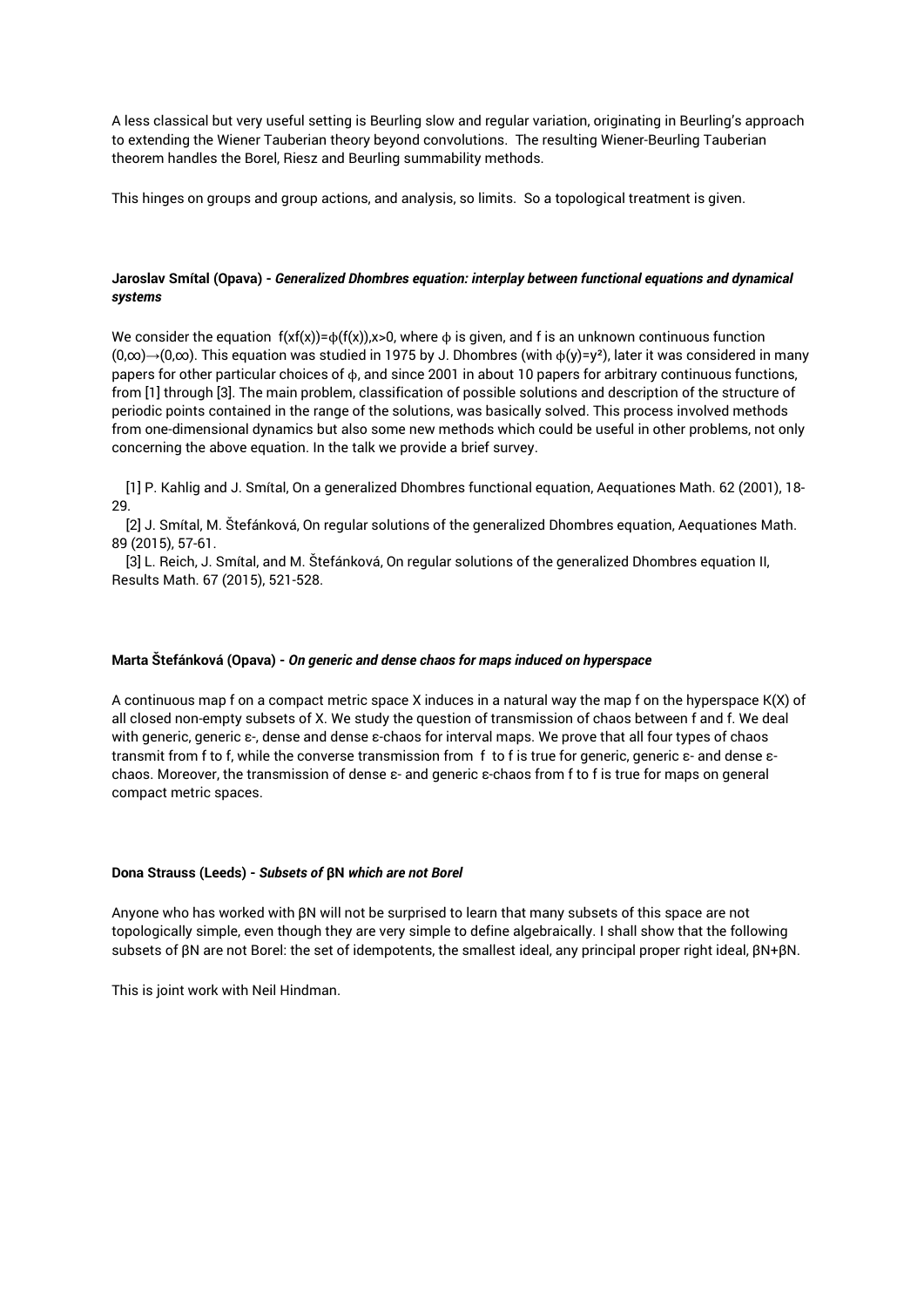A less classical but very useful setting is Beurling slow and regular variation, originating in Beurling's approach to extending the Wiener Tauberian theory beyond convolutions. The resulting Wiener-Beurling Tauberian theorem handles the Borel, Riesz and Beurling summability methods.

This hinges on groups and group actions, and analysis, so limits. So a topological treatment is given.

#### **Jaroslav Smítal (Opava) -** *Generalized Dhombres equation: interplay between functional equations and dynamical systems*

We consider the equation  $f(xf(x))=φ(f(x))$ ,  $x>0$ , where  $φ$  is given, and f is an unknown continuous function (0,∞)→(0,∞). This equation was studied in 1975 by J. Dhombres (with ϕ(y)=y²), later it was considered in many papers for other particular choices of ϕ, and since 2001 in about 10 papers for arbitrary continuous functions, from [1] through [3]. The main problem, classification of possible solutions and description of the structure of periodic points contained in the range of the solutions, was basically solved. This process involved methods from one-dimensional dynamics but also some new methods which could be useful in other problems, not only concerning the above equation. In the talk we provide a brief survey.

 [1] P. Kahlig and J. Smítal, On a generalized Dhombres functional equation, Aequationes Math. 62 (2001), 18- 29.

 [2] J. Smítal, M. Štefánková, On regular solutions of the generalized Dhombres equation, Aequationes Math. 89 (2015), 57-61.

 [3] L. Reich, J. Smítal, and M. Štefánková, On regular solutions of the generalized Dhombres equation II, Results Math. 67 (2015), 521-528.

#### **Marta Štefánková (Opava) -** *On generic and dense chaos for maps induced on hyperspace*

A continuous map f on a compact metric space X induces in a natural way the map f on the hyperspace K(X) of all closed non-empty subsets of X. We study the question of transmission of chaos between f and f. We deal with generic, generic ε-, dense and dense ε-chaos for interval maps. We prove that all four types of chaos transmit from f to f, while the converse transmission from f to f is true for generic, generic ε- and dense εchaos. Moreover, the transmission of dense ε- and generic ε-chaos from f to f is true for maps on general compact metric spaces.

#### **Dona Strauss (Leeds) -** *Subsets of* **βN** *which are not Borel*

Anyone who has worked with βN will not be surprised to learn that many subsets of this space are not topologically simple, even though they are very simple to define algebraically. I shall show that the following subsets of βN are not Borel: the set of idempotents, the smallest ideal, any principal proper right ideal, βN+βN.

This is joint work with Neil Hindman.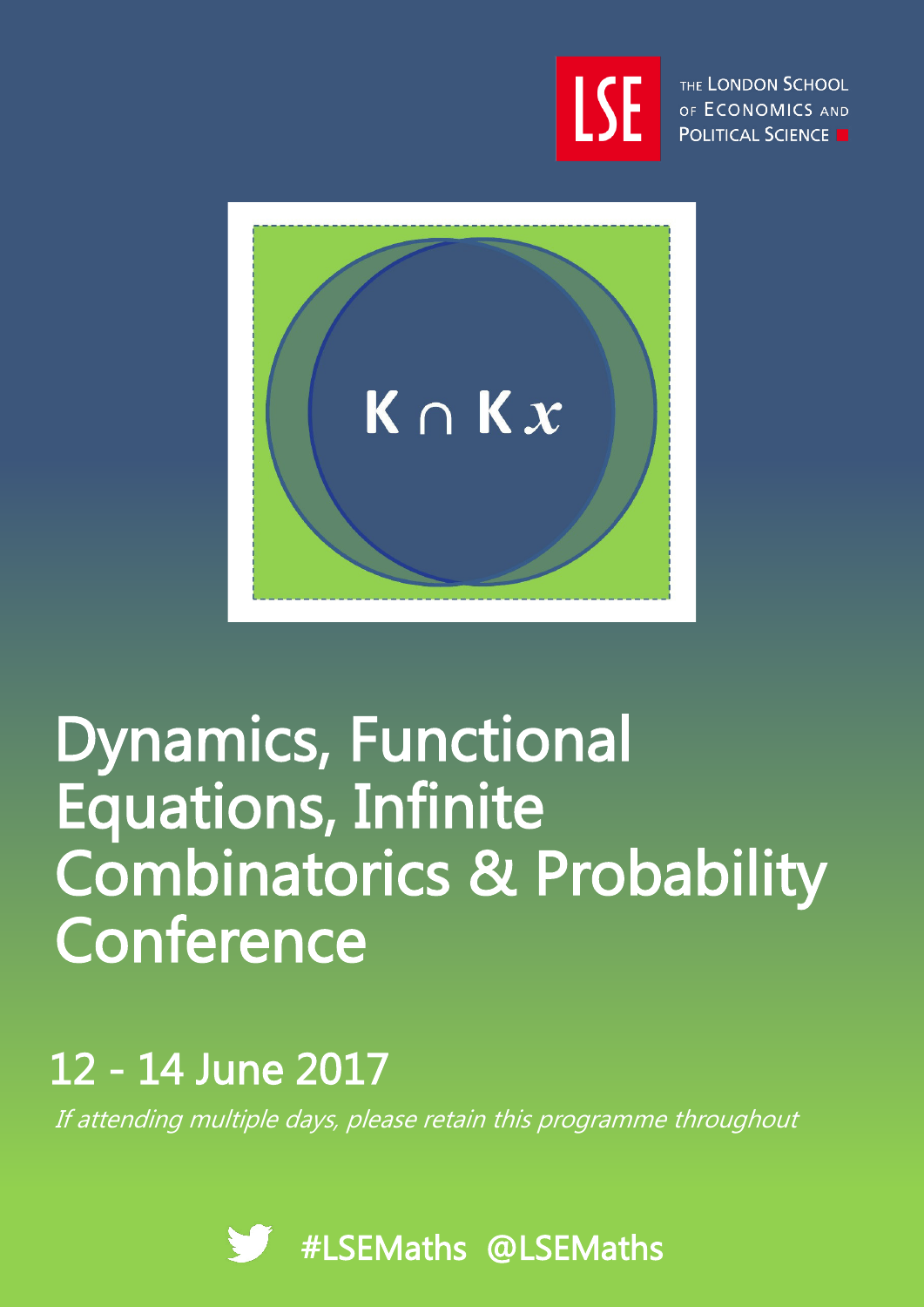

THE LONDON SCHOOL OF ECONOMICS AND **POLITICAL SCIENCE** 



# Dynamics, Functional Equations, Infinite Combinatorics & Probability Conference

# 12 - 14 June 2017

If attending multiple days, please retain this programme throughout

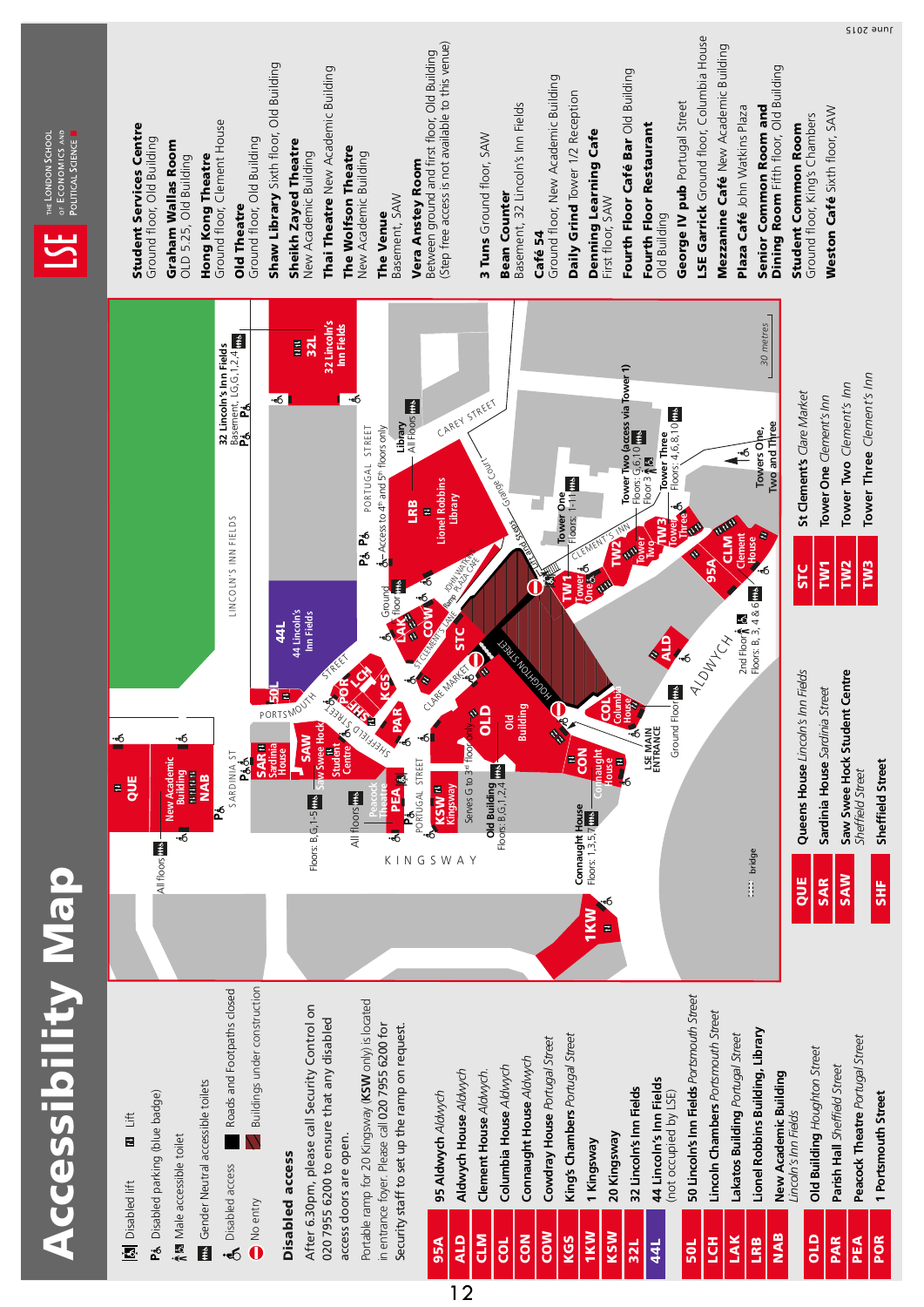| OF ECONOMICS AND<br>THE LONDON SCHOOL<br>POLITICAL SCIENCE | <b>Student Services Centre</b><br>Ground floor, Old Building<br>Graham Wallas Room<br>Hong Kong Theatre<br>OLD 5.25, Old Building                                  | Shaw Library Sixth floor, Old Building<br>Ground floor, Clement House<br>Ground floor, Old Building<br>Sheikh Zayed Theatre<br>New Academic Building<br><b>Old Theatre</b>                     | Thai Theatre New Academic Building<br>The Wolfson Theatre<br>New Academic Building<br>Basement, SAW<br>The Venue                                                                                                                                                                    | (Step free access is not available to this venue)<br>Between ground and first floor, Old Building<br>3 Tuns Ground floor, SAW<br>Vera Anstey Room  | Ground floor, New Academic Building<br>Daily Grind Tower 1/2 Reception<br>Basement, 32 Lincoln's Inn Fields<br>Denning Learning Cafe<br><b>Bean Counter</b><br>First floor, SAW<br>Café 54                    | LSE Garrick Ground floor, Columbia House<br>Mezzanine Café New Academic Building<br>Fourth Floor Café Bar Old Building<br>George IV pub Portugal Street<br>Plaza Café John Watkins Plaza<br>Senior Common Room and<br>Fourth Floor Restaurant<br>Old Building                                                                                                                                                                                                                      | Dining Room Fifth floor, Old Building<br>Weston Café Sixth floor, SAW<br>Ground floor, King's Chambers<br><b>Student Common Room</b>                                                                              |
|------------------------------------------------------------|--------------------------------------------------------------------------------------------------------------------------------------------------------------------|------------------------------------------------------------------------------------------------------------------------------------------------------------------------------------------------|-------------------------------------------------------------------------------------------------------------------------------------------------------------------------------------------------------------------------------------------------------------------------------------|----------------------------------------------------------------------------------------------------------------------------------------------------|---------------------------------------------------------------------------------------------------------------------------------------------------------------------------------------------------------------|------------------------------------------------------------------------------------------------------------------------------------------------------------------------------------------------------------------------------------------------------------------------------------------------------------------------------------------------------------------------------------------------------------------------------------------------------------------------------------|-------------------------------------------------------------------------------------------------------------------------------------------------------------------------------------------------------------------|
|                                                            | ÷б<br><u>-б</u>                                                                                                                                                    | 32 Lincoln's Inn Fields<br><sup>Basement, LG,G,1,2,4</sup> <mark>ffts</mark><br>På     På<br>E<br>$-6$<br>LINCOLN'S INN FIELDS<br>44 Lincoln's<br>Inn Fields<br>44<br>PORTSMOUTH<br><b>SAW</b> | 32 Lincoln's<br>Inn Fields<br>32L<br>-6<br>Library<br>- All Floors <b>The</b><br>PORTUGAL STREET<br>$\oint_C -$ Access to $4^{\text{th}}$ and $5^{\text{th}}$ floors only<br>Pá Pá<br>Ground<br>Moor the<br>STREET<br>۰<br>PAINTSON<br>公全<br>PAR<br><b>AREFIEL</b><br>$\frac{1}{2}$ | CAREY STREET<br><b>Lionel Robbins</b><br>Library<br>LRB<br>E<br><b>DAMMADAR</b><br>$\epsilon$<br>ă<br>STC<br>Class March 1<br>$\frac{1}{2}$<br>•ರ[ | <b>TARDS</b> Country<br>Tower One<br><b>ROSECUTION</b><br>CLEMENT.<br>$\tilde{\mathbf{5}}$<br>ξ<br><b>Dower</b><br><b>CONSTANTINO</b><br>ទី<br>Building<br>$\mathscr{C}$<br>$\frac{1}{100}$<br><b>RESERVE</b> | 30 metres<br>Tower Two (access via Tower 1)<br>Floors: G, 6, 10 <mark>TITS</mark><br>Floor 3 ႔ <b>R3</b><br>4,6,8,10 me<br>Towers One,<br><b>Tower Three</b><br>$\rightarrow$<br>Floors:<br>THE<br>ower<br>TAN<br>٩<br>Clement<br><b>CLM</b><br>House<br><b>AMER</b><br>P<br>Š<br>$\bullet$<br>$\overline{\text{MS}}$<br>-6<br>$2nd Floor h l l l l l l l l l l l l l l l l l l l l l l l l l l l l l l$<br>ALOW ICH<br>Ground Floor in<br>Columl<br>House<br>LSE MAIN<br>ENTRANCE | Tower Three Clement's Inn<br>Tower Two Clement's Inn<br>St Clement's Clare Market<br>Tower One Clement's Inn<br>Two and Three<br>TW <sub>2</sub><br>TW3<br>TW <sub>1</sub><br><b>STC</b>                          |
|                                                            | New Academic<br>Building<br>HELLER<br><b>NAB</b><br>QUE<br>圍<br>$-6$<br>All floors into                                                                            | <b>SAR<sup>H</sup></b><br>Sardima<br>House<br>SARDINIA <sub>5</sub> T<br>ేర్<br>గ<br>٦<br><b>P</b>                                                                                             | Saw Swee Hock<br>Student<br>Centre des<br><b>REAM</b><br>All floors<br>Floors: B, G, 1-5<br>$\overline{\cdot}$ 6<br>KIN                                                                                                                                                             | Serves G to 3 <sup>rd</sup> floor<br>PA TAPI<br>Portugal street<br><b>Kensform</b><br>SWAY<br>G                                                    | $\overline{\tilde{e}}$<br>maught<br>House<br>Old Building<br>Floors: B,G,1,2,4<br>Connaught House<br>Floors: 1,3,5,7<br>1KW<br>E                                                                              | 뭐<br>:::: bridge                                                                                                                                                                                                                                                                                                                                                                                                                                                                   | <b>Queens House Lincoln's Inn Fields</b><br>Saw Swee Hock Student Centre<br>Sardinia House Sardinia Street<br>Sheffield Street<br>Sheffield Street<br><b>SAW</b><br>QUE<br><b>SAR</b><br><b>SHF</b>               |
| <b>Accessibility Map</b>                                   | Gender Neutral accessible toilets<br>P& Disabled parking (blue badge)<br>m Lift<br>$\uparrow$ Male accessible toilet<br><b>Disabled lift</b><br>$\hat{\mathbf{r}}$ | Buildings under construction<br>Roads and Footpaths closed<br><b>Disabled access</b><br>Disabled access<br>O No entry<br>•ර                                                                    | Portable ramp for 20 Kingsway (KSW only) is located<br>After 6.30pm, please call Security Control on<br>020 7955 6200 to ensure that any disabled<br>in entrance foyer. Please call 020 7955 6200 for<br>Security staff to set up the ramp on request.<br>access doors are open.    | Aldwych House Aldwych<br>Clement House Aldwych.<br>95 Aldwych Aldwych<br><b>NTD</b><br>ALD<br>95A<br>12                                            | King's Chambers Portugal Street<br>Cowdray House Portugal Street<br>Connaught House Aldwych<br>Columbia House Aldwych<br>1 Kingsway<br>COW<br><b>1KW</b><br>KSW<br>$\overline{6}$<br>KGS<br><b>COL</b>        | 50 Lincoln's Inn Fields Portsmouth Street<br>Lincoln Chambers Portsmouth Street<br>Lionel Robbins Building, Library<br>Lakatos Building Portugal Street<br>44 Lincoln's Inn Fields<br>32 Lincoln's Inn Fields<br>(not occupied by LSE)<br>20 Kingsway<br>$\overline{5}$<br>LAK<br>LRB<br>50L<br>32L<br>44L                                                                                                                                                                         | Peacock Theatre Portugal Street<br>Old Building Houghton Street<br>Parish Hall Sheffield Street<br>New Academic Building<br>1 Portsmouth Street<br>Lincoln's Inn Fields<br><b>NAB</b><br>POR<br>qTO<br>PAR<br>PEA |

June 2015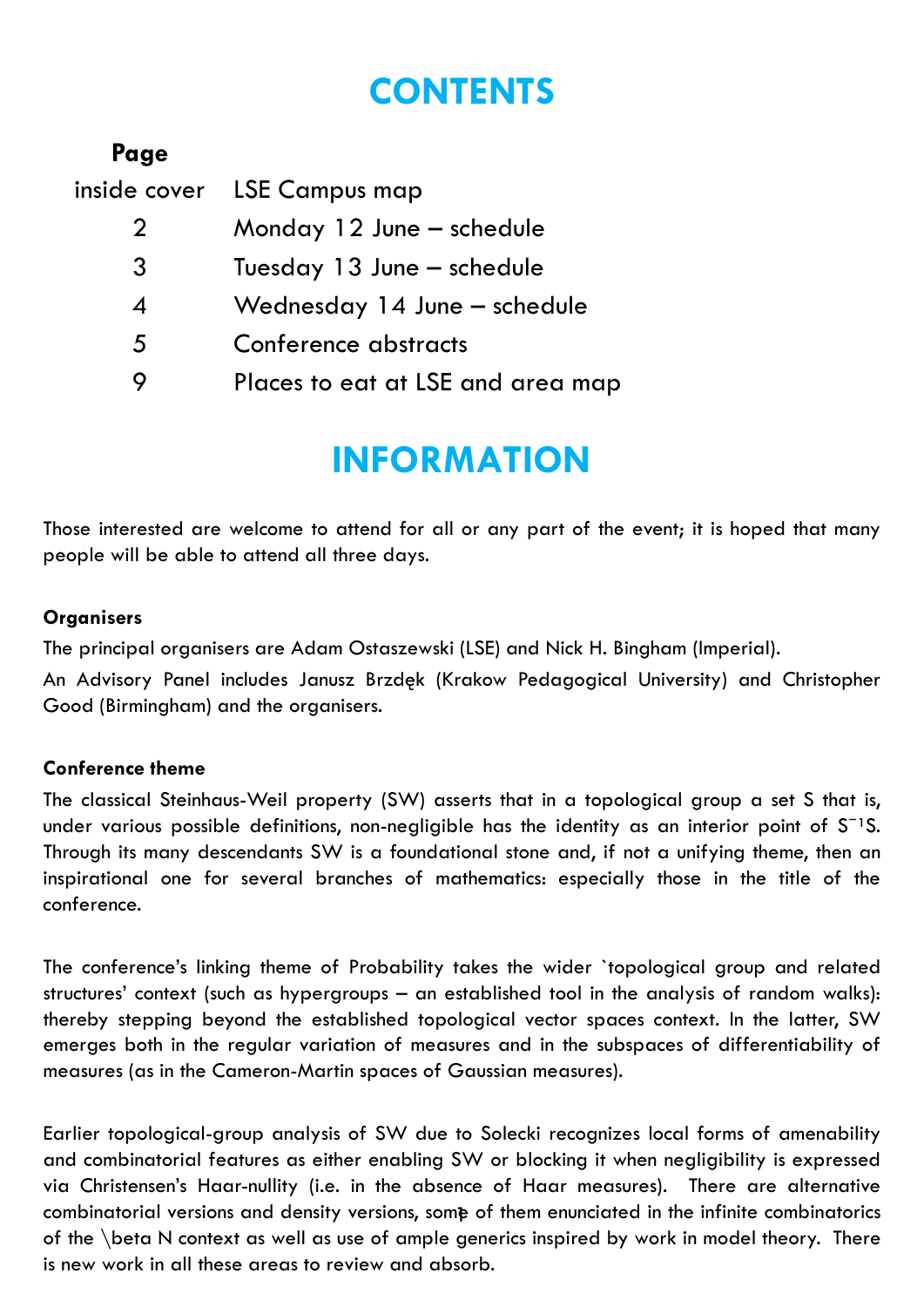## **CONTENTS**

| Page           |                                   |
|----------------|-----------------------------------|
| inside cover   | <b>LSE Campus map</b>             |
| $\overline{2}$ | Monday 12 June - schedule         |
| 3              | Tuesday 13 June – schedule        |
| 4              | Wednesday 14 June – schedule      |
| 5              | Conference abstracts              |
|                | Places to eat at LSE and area map |
|                |                                   |

## **INFORMATION**

Those interested are welcome to attend for all or any part of the event; it is hoped that many people will be able to attend all three days.

## **Organisers**

The principal organisers are Adam Ostaszewski (LSE) and Nick H. Bingham (Imperial).

An Advisory Panel includes Janusz Brzdęk (Krakow Pedagogical University) and Christopher Good (Birmingham) and the organisers.

### **Conference theme**

The classical Steinhaus-Weil property (SW) asserts that in a topological group a set S that is, under various possible definitions, non-negligible has the identity as an interior point of  $S^{-1}S$ . Through its many descendants SW is a foundational stone and, if not a unifying theme, then an inspirational one for several branches of mathematics: especially those in the title of the conference.

The conference's linking theme of Probability takes the wider `topological group and related structures' context (such as hypergroups – an established tool in the analysis of random walks): thereby stepping beyond the established topological vector spaces context. In the latter, SW emerges both in the regular variation of measures and in the subspaces of differentiability of measures (as in the Cameron-Martin spaces of Gaussian measures).

Earlier topological-group analysis of SW due to Solecki recognizes local forms of amenability and combinatorial features as either enabling SW or blocking it when negligibility is expressed via Christensen's Haar-nullity (i.e. in the absence of Haar measures). There are alternative combinatorial versions and density versions, some of them enunciated in the infinite combinatorics 1of the \beta N context as well as use of ample generics inspired by work in model theory. There is new work in all these areas to review and absorb.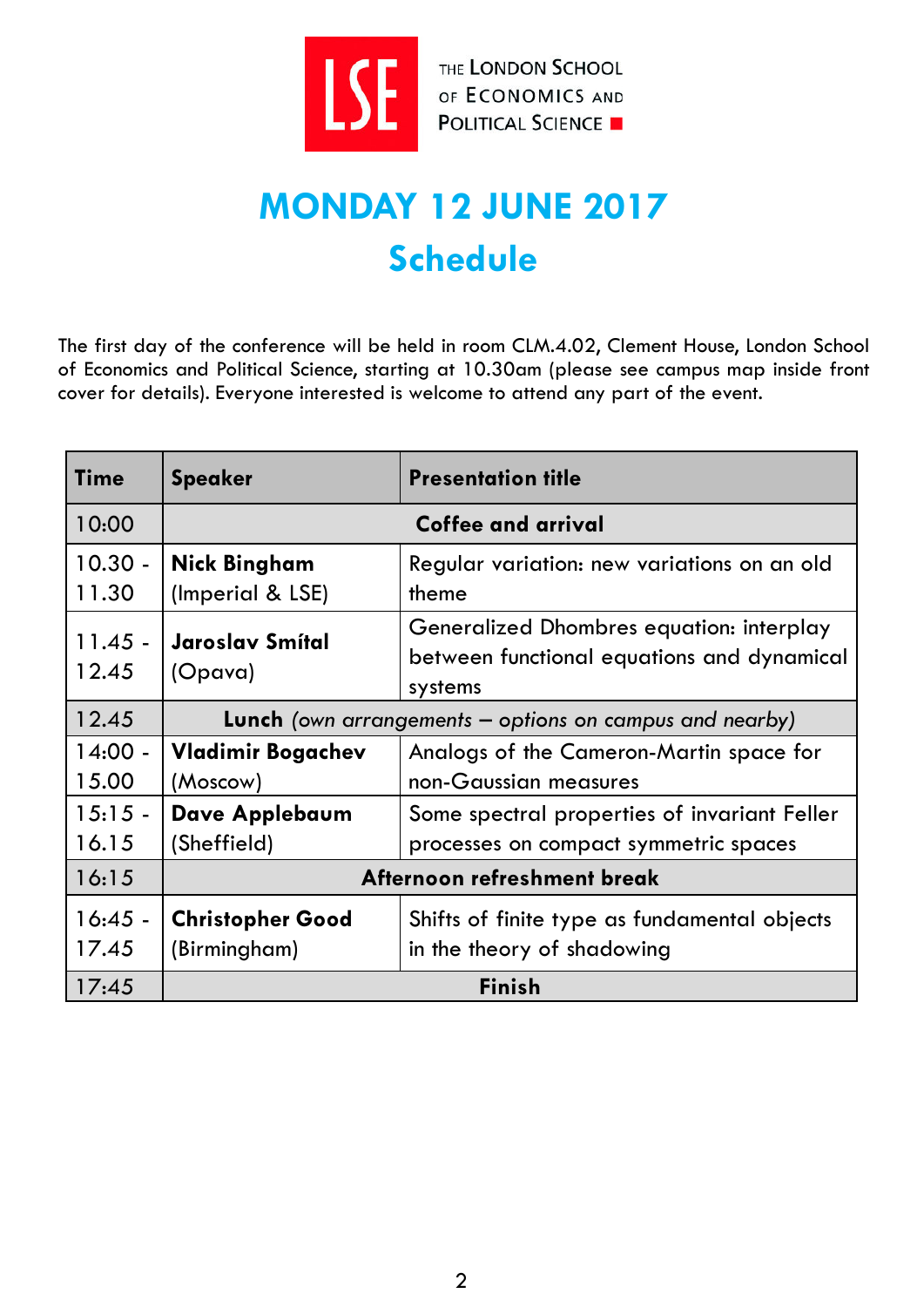

THE LONDON SCHOOL

# **MONDAY 12 JUNE 2017 Schedule**

The first day of the conference will be held in room CLM.4.02, Clement House, London School of Economics and Political Science, starting at 10.30am (please see campus map inside front cover for details). Everyone interested is welcome to attend any part of the event.

| <b>Time</b>        | <b>Speaker</b>                                                   | <b>Presentation title</b>                                                                         |  |  |
|--------------------|------------------------------------------------------------------|---------------------------------------------------------------------------------------------------|--|--|
| 10:00              | Coffee and arrival                                               |                                                                                                   |  |  |
| $10.30 -$<br>11.30 | <b>Nick Bingham</b><br>(Imperial & LSE)                          | Regular variation: new variations on an old<br>theme                                              |  |  |
| $11.45 -$<br>12.45 | Jaroslav Smítal<br>(Opava)                                       | Generalized Dhombres equation: interplay<br>between functional equations and dynamical<br>systems |  |  |
| 12.45              | <b>Lunch</b> (own arrangements $-$ options on campus and nearby) |                                                                                                   |  |  |
| $14:00 -$<br>15.00 | <b>Vladimir Bogachev</b><br>(Moscow)                             | Analogs of the Cameron-Martin space for<br>non-Gaussian measures                                  |  |  |
| $15:15 -$<br>16.15 | Dave Applebaum<br>(Sheffield)                                    | Some spectral properties of invariant Feller<br>processes on compact symmetric spaces             |  |  |
| 16:15              | Afternoon refreshment break                                      |                                                                                                   |  |  |
| $16:45 -$<br>17.45 | <b>Christopher Good</b><br>(Birmingham)                          | Shifts of finite type as fundamental objects<br>in the theory of shadowing                        |  |  |
| 17:45              | <b>Finish</b>                                                    |                                                                                                   |  |  |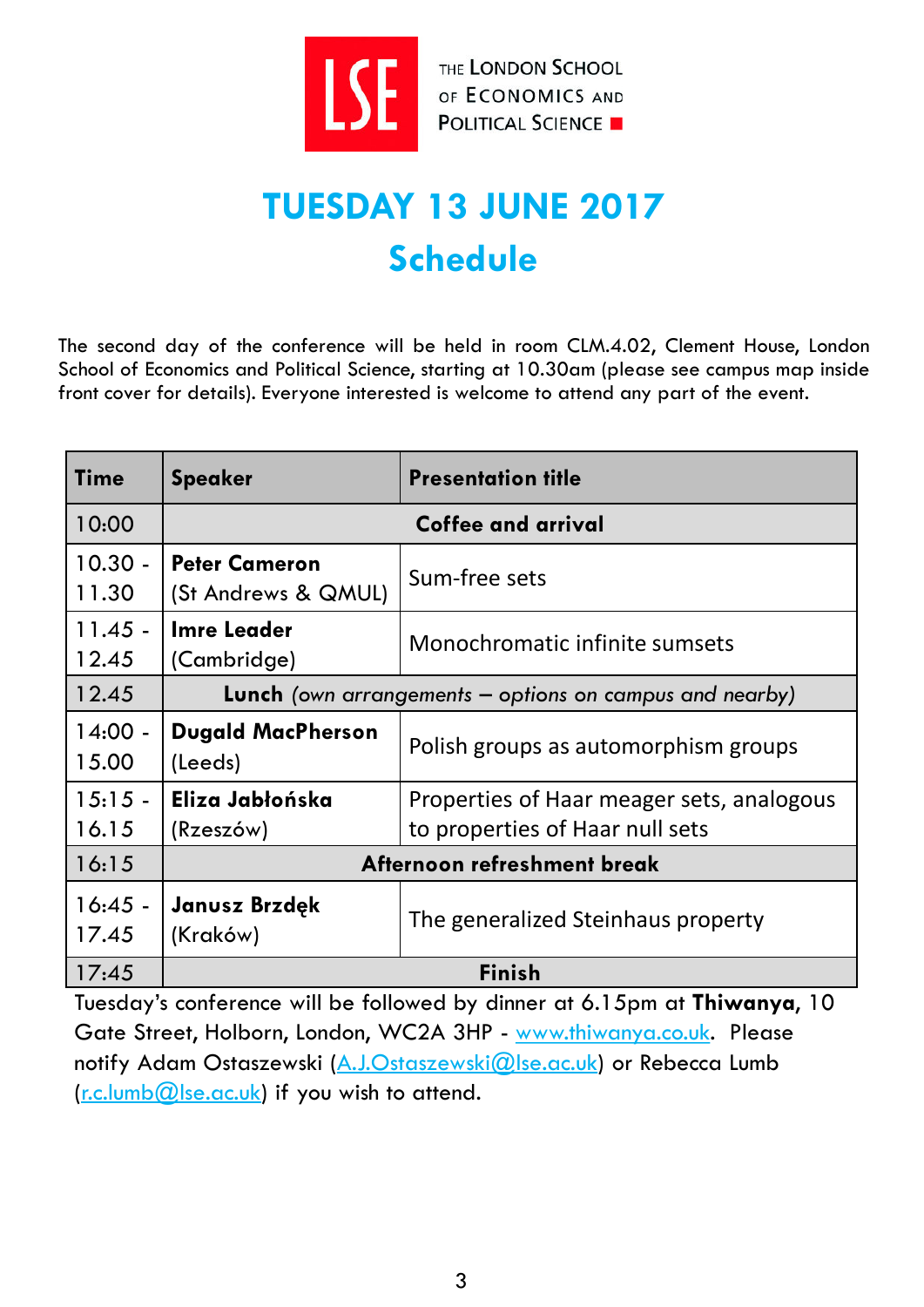

THE LONDON SCHOOL **EXECUTE LONDON SCHOOL POLITICAL SCIENCE** 

# **TUESDAY 13 JUNE 2017 Schedule**

The second day of the conference will be held in room CLM.4.02, Clement House, London School of Economics and Political Science, starting at 10.30am (please see campus map inside front cover for details). Everyone interested is welcome to attend any part of the event.

| Time               | <b>Speaker</b>                                                   | <b>Presentation title</b>                                                    |  |
|--------------------|------------------------------------------------------------------|------------------------------------------------------------------------------|--|
| 10:00              | Coffee and arrival                                               |                                                                              |  |
| $10.30 -$<br>11.30 | <b>Peter Cameron</b><br>(St Andrews & QMUL)                      | Sum-free sets                                                                |  |
| $11.45 -$<br>12.45 | <b>Imre Leader</b><br>(Cambridge)                                | Monochromatic infinite sumsets                                               |  |
| 12.45              | <b>Lunch</b> (own arrangements $-$ options on campus and nearby) |                                                                              |  |
| $14:00 -$<br>15.00 | <b>Dugald MacPherson</b><br>(Leeds)                              | Polish groups as automorphism groups                                         |  |
| $15:15 -$<br>16.15 | Eliza Jabłońska<br>(Rzeszów)                                     | Properties of Haar meager sets, analogous<br>to properties of Haar null sets |  |
| 16:15              | Afternoon refreshment break                                      |                                                                              |  |
| $16:45 -$<br>17.45 | Janusz Brzdęk<br>(Kraków)                                        | The generalized Steinhaus property                                           |  |
| 17:45              | <b>Finish</b>                                                    |                                                                              |  |

Tuesday's conference will be followed by dinner at 6.15pm at **Thiwanya**, 10 Gate Street, Holborn, London, WC2A 3HP - [www.thiwanya.co.uk.](http://www.thiwanya.co.uk/) Please notify Adam Ostaszewski [\(A.J.Ostaszewski@lse.ac.uk](mailto:A.J.Ostaszewski@lse.ac.uk)) or Rebecca Lumb  $(r.c.lumb@]$ se.ac.uk) if you wish to attend.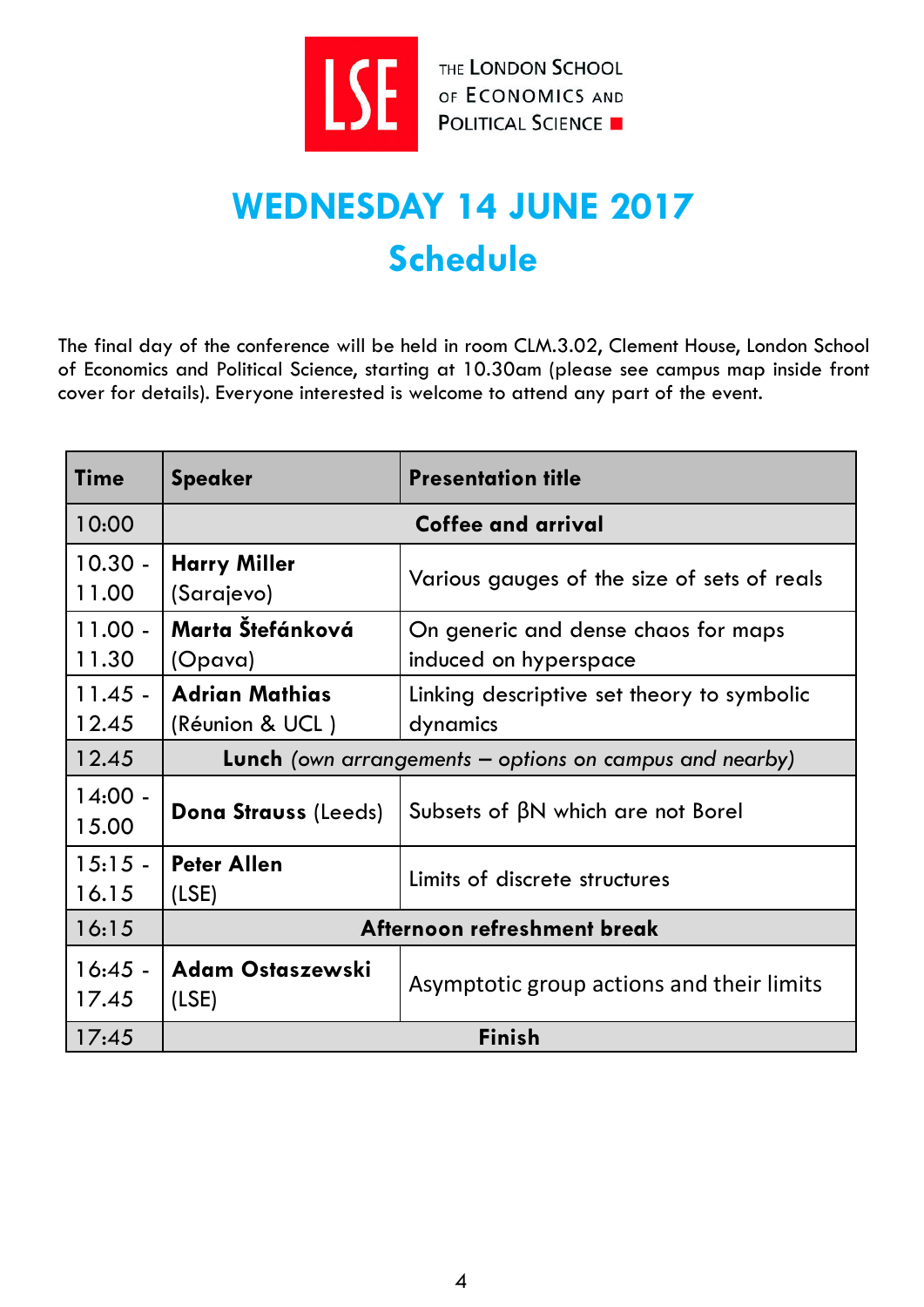

THE LONDON SCHOOL

# **WEDNESDAY 14 JUNE 2017 Schedule**

The final day of the conference will be held in room CLM.3.02, Clement House, London School of Economics and Political Science, starting at 10.30am (please see campus map inside front cover for details). Everyone interested is welcome to attend any part of the event.

| <b>Time</b>        | <b>Speaker</b>                                                   | <b>Presentation title</b>                                    |  |
|--------------------|------------------------------------------------------------------|--------------------------------------------------------------|--|
| 10:00              | Coffee and arrival                                               |                                                              |  |
| $10.30 -$<br>11.00 | <b>Harry Miller</b><br>(Sarajevo)                                | Various gauges of the size of sets of reals                  |  |
| $11.00 -$<br>11.30 | Marta Štefánková<br>(Opava)                                      | On generic and dense chaos for maps<br>induced on hyperspace |  |
| $11.45 -$<br>12.45 | <b>Adrian Mathias</b><br>(Réunion & UCL)                         | Linking descriptive set theory to symbolic<br>dynamics       |  |
| 12.45              | <b>Lunch</b> (own arrangements $-$ options on campus and nearby) |                                                              |  |
| $14:00 -$<br>15.00 | <b>Dona Strauss (Leeds)</b>                                      | Subsets of $\beta N$ which are not Borel                     |  |
| $15:15 -$<br>16.15 | <b>Peter Allen</b><br>(LSE)                                      | Limits of discrete structures                                |  |
| 16:15              | Afternoon refreshment break                                      |                                                              |  |
| $16:45 -$<br>17.45 | <b>Adam Ostaszewski</b><br>(LSE)                                 | Asymptotic group actions and their limits                    |  |
| 17:45              | <b>Finish</b>                                                    |                                                              |  |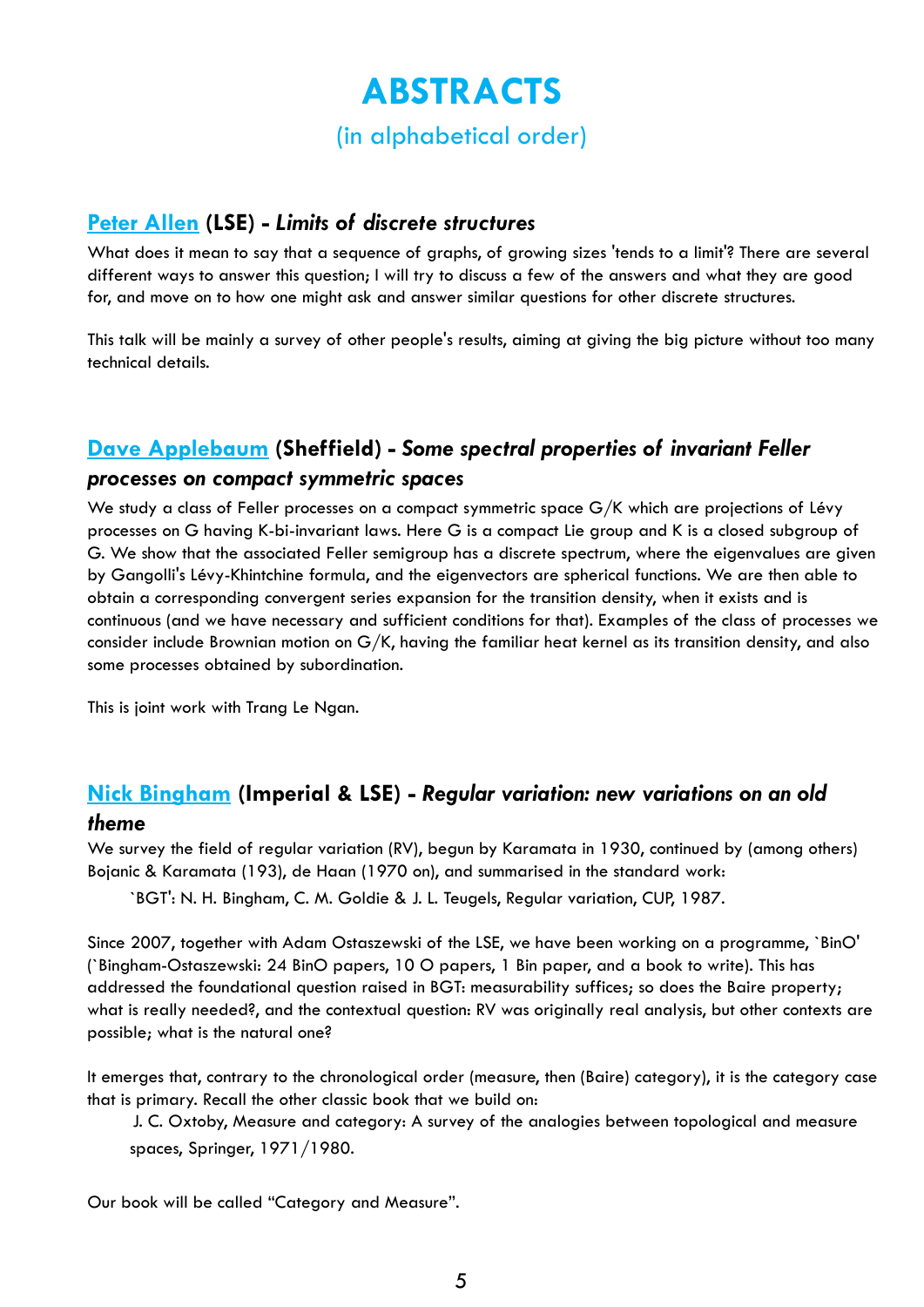## **ABSTRACTS**

(in alphabetical order)

### **[Peter Allen](http://www.lse.ac.uk/researchAndExpertise/Experts/profile.aspx?KeyValue=p.d.allen@lse.ac.uk) (LSE) -** *Limits of discrete structures*

What does it mean to say that a sequence of graphs, of growing sizes 'tends to a limit'? There are several different ways to answer this question; I will try to discuss a few of the answers and what they are good for, and move on to how one might ask and answer similar questions for other discrete structures.

This talk will be mainly a survey of other people's results, aiming at giving the big picture without too many technical details.

## **[Dave Applebaum](http://www.applebaum.staff.shef.ac.uk/) (Sheffield) -** *Some spectral properties of invariant Feller*

### *processes on compact symmetric spaces*

We study a class of Feller processes on a compact symmetric space G/K which are projections of Lévy processes on G having K-bi-invariant laws. Here G is a compact Lie group and K is a closed subgroup of G. We show that the associated Feller semigroup has a discrete spectrum, where the eigenvalues are given by Gangolli's Lévy-Khintchine formula, and the eigenvectors are spherical functions. We are then able to obtain a corresponding convergent series expansion for the transition density, when it exists and is continuous (and we have necessary and sufficient conditions for that). Examples of the class of processes we consider include Brownian motion on G/K, having the familiar heat kernel as its transition density, and also some processes obtained by subordination.

This is joint work with Trang Le Ngan.

## **[Nick Bingham](http://wwwf.imperial.ac.uk/%7Ebin06/) (Imperial & LSE) -** *Regular variation: new variations on an old*

### *theme*

We survey the field of regular variation (RV), begun by Karamata in 1930, continued by (among others) Bojanic & Karamata (193), de Haan (1970 on), and summarised in the standard work:

`BGT': N. H. Bingham, C. M. Goldie & J. L. Teugels, Regular variation, CUP, 1987.

Since 2007, together with Adam Ostaszewski of the LSE, we have been working on a programme, `BinO' (`Bingham-Ostaszewski: 24 BinO papers, 10 O papers, 1 Bin paper, and a book to write). This has addressed the foundational question raised in BGT: measurability suffices; so does the Baire property; what is really needed?, and the contextual question: RV was originally real analysis, but other contexts are possible; what is the natural one?

It emerges that, contrary to the chronological order (measure, then (Baire) category), it is the category case that is primary. Recall the other classic book that we build on:

J. C. Oxtoby, Measure and category: A survey of the analogies between topological and measure spaces, Springer, 1971/1980.

Our book will be called "Category and Measure".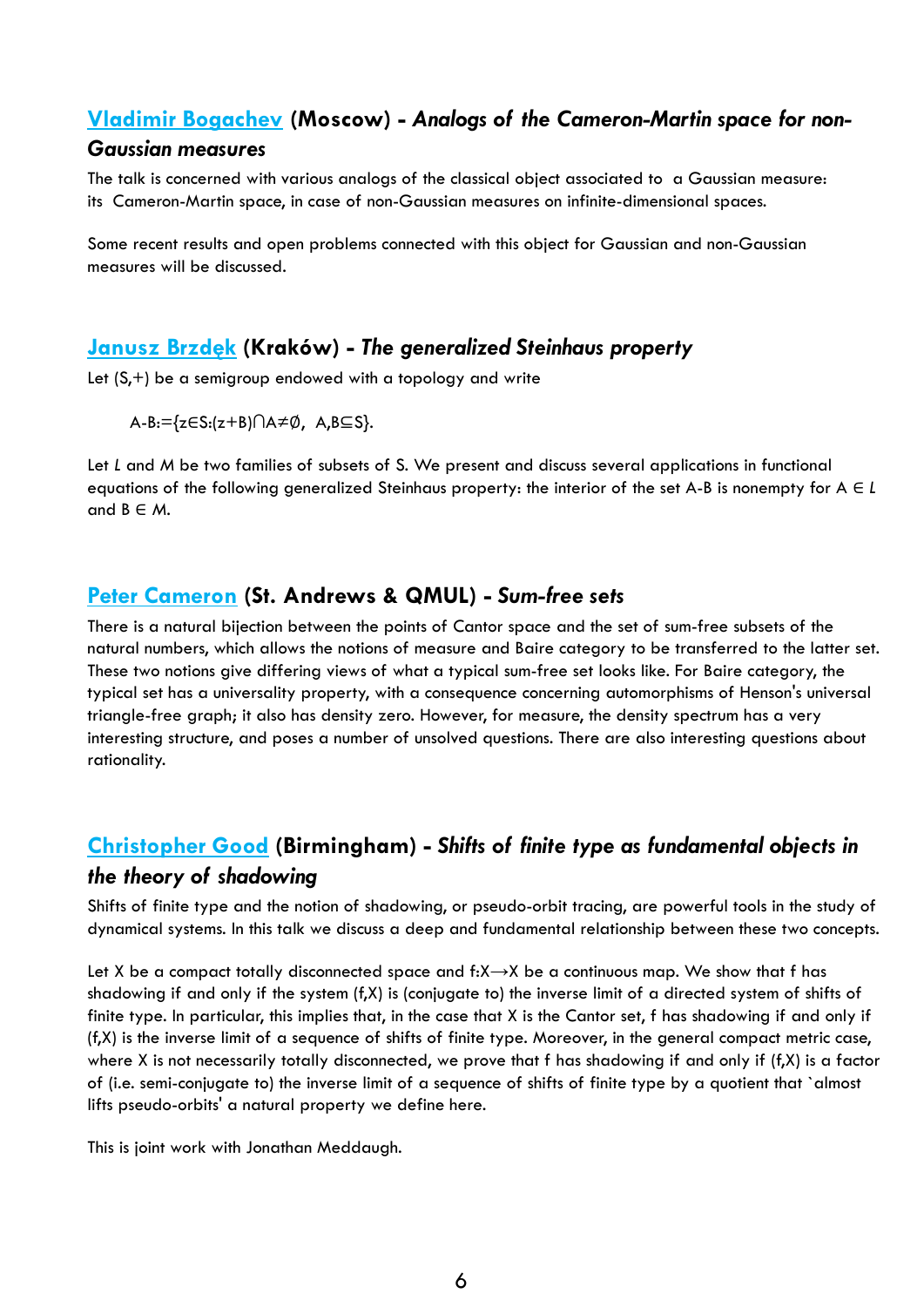## **[Vladimir Bogachev](https://www.hse.ru/en/org/persons/23831005) (Moscow) -** *Analogs of the Cameron-Martin space for non-*

### *Gaussian measures*

The talk is concerned with various analogs of the classical object associated to a Gaussian measure: its Cameron-Martin space, in case of non-Gaussian measures on infinite-dimensional spaces.

Some recent results and open problems connected with this object for Gaussian and non-Gaussian measures will be discussed.

## **[Janusz](http://matematyka.up.krakow.pl/en/pracow.php?ac=7374149) Brzdęk (Kraków) -** *The generalized Steinhaus property*

Let (S,+) be a semigroup endowed with a topology and write

A-B:={z∈S:(z+B)∩A≠∅, A,B⊆S}.

Let *L* and *M* be two families of subsets of S. We present and discuss several applications in functional equations of the following generalized Steinhaus property: the interior of the set A-B is nonempty for A ∈ *L* and  $B \in M$ .

## **[Peter Cameron](http://www-circa.mcs.st-andrews.ac.uk/%7Epjc/) (St. Andrews & QMUL) -** *Sum-free sets*

There is a natural bijection between the points of Cantor space and the set of sum-free subsets of the natural numbers, which allows the notions of measure and Baire category to be transferred to the latter set. These two notions give differing views of what a typical sum-free set looks like. For Baire category, the typical set has a universality property, with a consequence concerning automorphisms of Henson's universal triangle-free graph; it also has density zero. However, for measure, the density spectrum has a very interesting structure, and poses a number of unsolved questions. There are also interesting questions about rationality.

## **[Christopher Good](http://www.birmingham.ac.uk/staff/profiles/maths/good-christopher.aspx) (Birmingham) -** *Shifts of finite type as fundamental objects in the theory of shadowing*

Shifts of finite type and the notion of shadowing, or pseudo-orbit tracing, are powerful tools in the study of dynamical systems. In this talk we discuss a deep and fundamental relationship between these two concepts.

Let X be a compact totally disconnected space and f: $X \rightarrow X$  be a continuous map. We show that f has shadowing if and only if the system (f,X) is (conjugate to) the inverse limit of a directed system of shifts of finite type. In particular, this implies that, in the case that X is the Cantor set, f has shadowing if and only if (f,X) is the inverse limit of a sequence of shifts of finite type. Moreover, in the general compact metric case, where X is not necessarily totally disconnected, we prove that f has shadowing if and only if (f,X) is a factor of (i.e. semi-conjugate to) the inverse limit of a sequence of shifts of finite type by a quotient that `almost lifts pseudo-orbits' a natural property we define here.

This is joint work with Jonathan Meddaugh.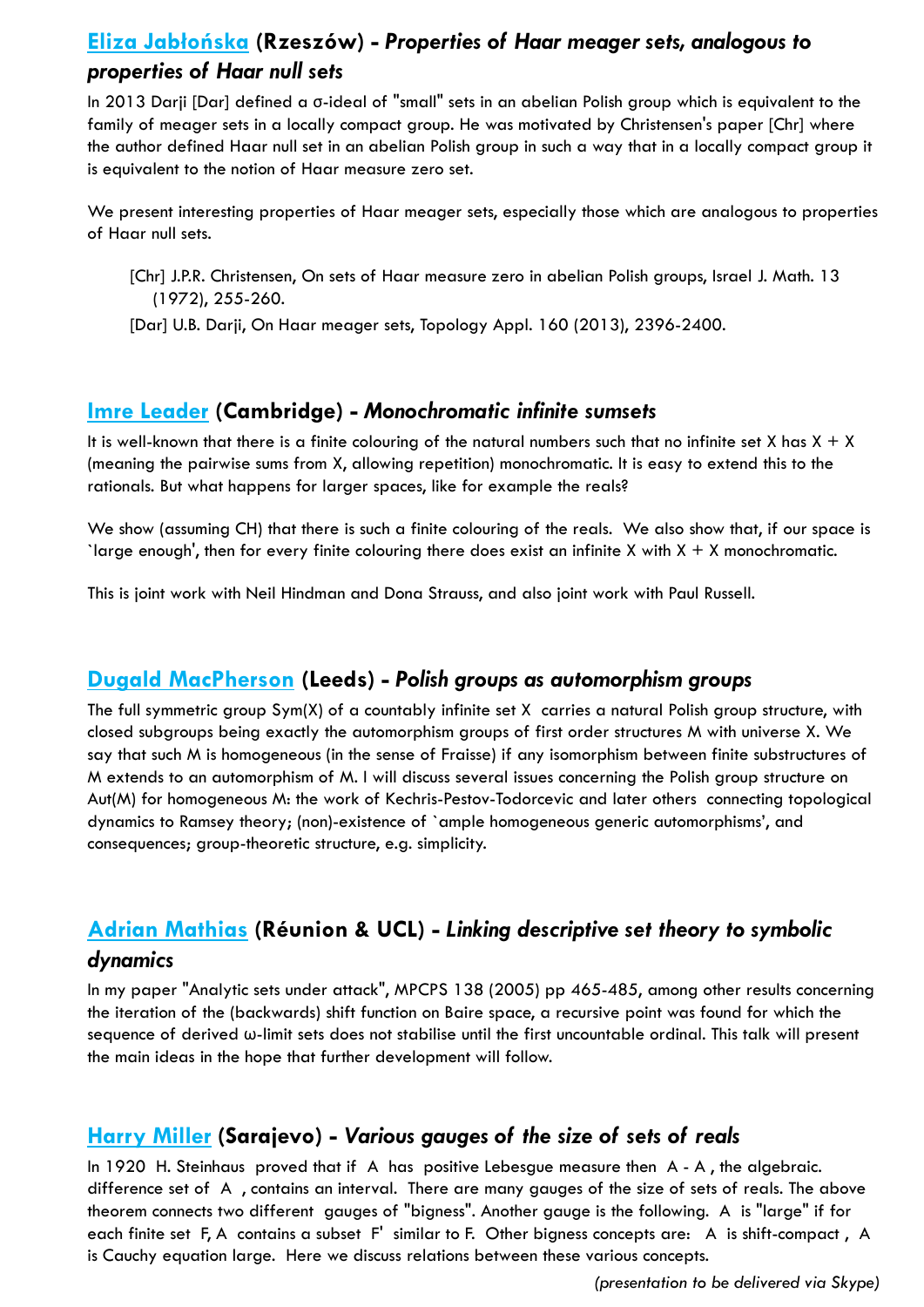## **Eliza [Jabłońska](http://eliza.sd.prz.edu.pl/) (Rzeszów) -** *Properties of Haar meager sets, analogous to properties of Haar null sets*

In 2013 Darji [Dar] defined a σ-ideal of "small" sets in an abelian Polish group which is equivalent to the family of meager sets in a locally compact group. He was motivated by Christensen's paper [Chr] where the author defined Haar null set in an abelian Polish group in such a way that in a locally compact group it is equivalent to the notion of Haar measure zero set.

We present interesting properties of Haar meager sets, especially those which are analogous to properties of Haar null sets.

[Chr] J.P.R. Christensen, On sets of Haar measure zero in abelian Polish groups, Israel J. Math. 13 (1972), 255-260.

[Dar] U.B. Darji, On Haar meager sets, Topology Appl. 160 (2013), 2396-2400.

## **Imre [Leader](https://www.dpmms.cam.ac.uk/people/ibl10/) (Cambridge) -** *Monochromatic infinite sumsets*

It is well-known that there is a finite colouring of the natural numbers such that no infinite set X has  $X + X$ (meaning the pairwise sums from X, allowing repetition) monochromatic. It is easy to extend this to the rationals. But what happens for larger spaces, like for example the reals?

We show (assuming CH) that there is such a finite colouring of the reals. We also show that, if our space is `large enough', then for every finite colouring there does exist an infinite X with  $X + X$  monochromatic.

This is joint work with Neil Hindman and Dona Strauss, and also joint work with Paul Russell.

## **Dugald [MacPherson](https://www.maths.leeds.ac.uk/index.php?id=263&uid=1045) (Leeds) -** *Polish groups as automorphism groups*

The full symmetric group Sym(X) of a countably infinite set X carries a natural Polish group structure, with closed subgroups being exactly the automorphism groups of first order structures M with universe X. We say that such M is homogeneous (in the sense of Fraisse) if any isomorphism between finite substructures of M extends to an automorphism of M. I will discuss several issues concerning the Polish group structure on Aut(M) for homogeneous M: the work of Kechris-Pestov-Todorcevic and later others connecting topological dynamics to Ramsey theory; (non)-existence of `ample homogeneous generic automorphisms', and consequences; group-theoretic structure, e.g. simplicity.

## **[Adrian Mathias](https://www.dpmms.cam.ac.uk/%7Eardm/) (Réunion & UCL) -** *Linking descriptive set theory to symbolic dynamics*

In my paper "Analytic sets under attack", MPCPS 138 (2005) pp 465-485, among other results concerning the iteration of the (backwards) shift function on Baire space, a recursive point was found for which the sequence of derived ω-limit sets does not stabilise until the first uncountable ordinal. This talk will present the main ideas in the hope that further development will follow.

## **[Harry Miller](https://fens.ius.edu.ba/) (Sarajevo) -** *Various gauges of the size of sets of reals*

In 1920 H. Steinhaus proved that if A has positive Lebesgue measure then A - A , the algebraic. difference set of A , contains an interval. There are many gauges of the size of sets of reals. The above theorem connects two different gauges of "bigness". Another gauge is the following. A is "large" if for each finite set F, A contains a subset F' similar to F. Other bigness concepts are: A is shift-compact , A is Cauchy equation large. Here we discuss relations between these various concepts.

*(presentation to be delivered via Skype)*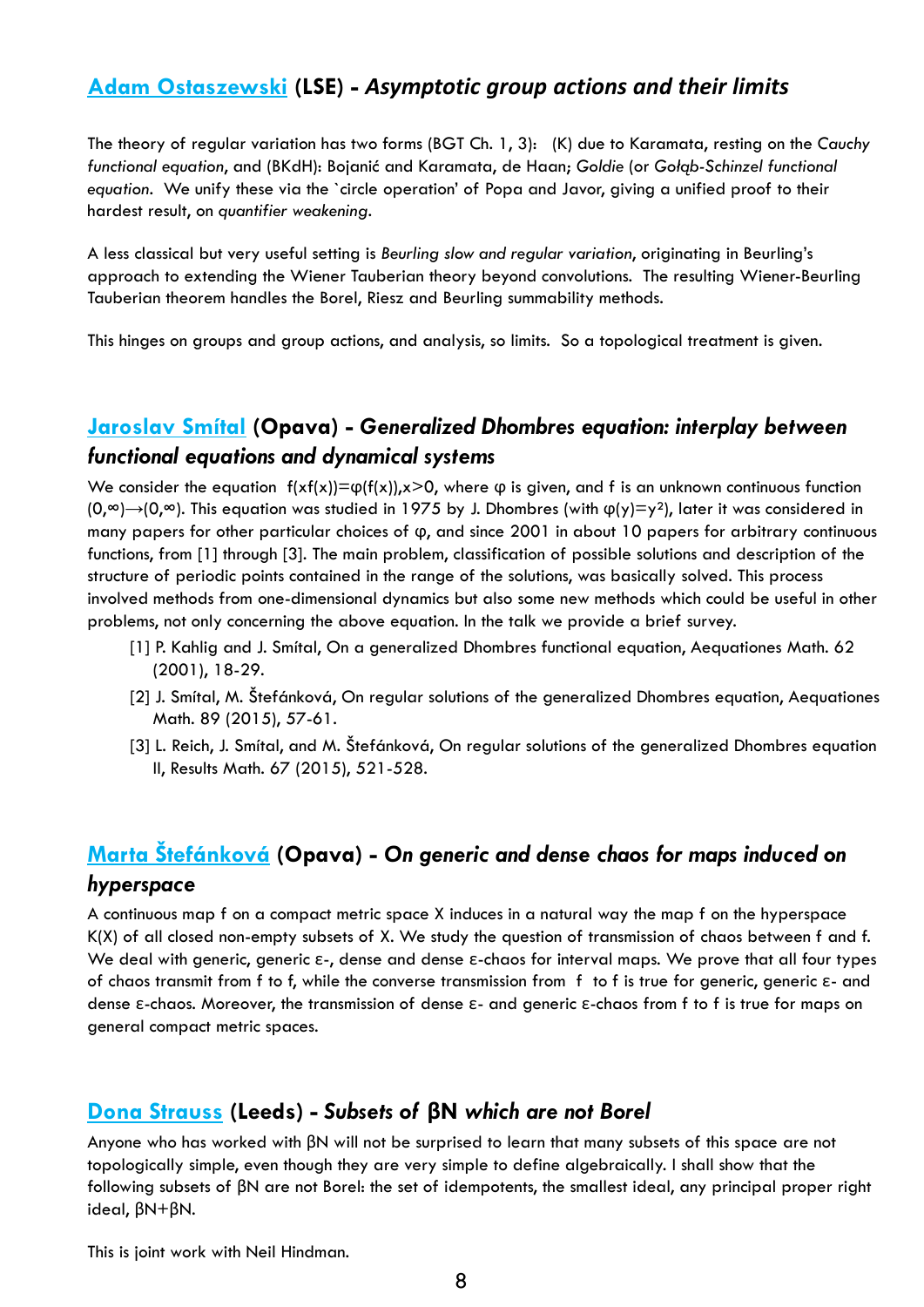## **[Adam Ostaszewski](http://www.maths.lse.ac.uk/Personal/adam/) (LSE) -** *Asymptotic group actions and their limits*

The theory of regular variation has two forms (BGT Ch. 1, 3): (K) due to Karamata, resting on the *Cauchy functional equation*, and (BKdH): Bojanić and Karamata, de Haan; *Goldie* (or *Gołąb-Schinzel functional equation*. We unify these via the `circle operation' of Popa and Javor, giving a unified proof to their hardest result, on *quantifier weakening*.

A less classical but very useful setting is *Beurling slow and regular variation*, originating in Beurling's approach to extending the Wiener Tauberian theory beyond convolutions. The resulting Wiener-Beurling Tauberian theorem handles the Borel, Riesz and Beurling summability methods.

This hinges on groups and group actions, and analysis, so limits. So a topological treatment is given.

## **[Jaroslav Smítal](http://www.slu.cz/math/cz/lide/smital-jaroslav/profil-cz) (Opava) -** *Generalized Dhombres equation: interplay between functional equations and dynamical systems*

We consider the equation  $f(xf(x))=\varphi(f(x)),x>0$ , where  $\varphi$  is given, and f is an unknown continuous function  $(0, \infty) \rightarrow (0, \infty)$ . This equation was studied in 1975 by J. Dhombres (with  $\varphi(y)=y^2$ ), later it was considered in many papers for other particular choices of ϕ, and since 2001 in about 10 papers for arbitrary continuous functions, from [1] through [3]. The main problem, classification of possible solutions and description of the structure of periodic points contained in the range of the solutions, was basically solved. This process involved methods from one-dimensional dynamics but also some new methods which could be useful in other problems, not only concerning the above equation. In the talk we provide a brief survey.

- [1] P. Kahlig and J. Smítal, On a generalized Dhombres functional equation, Aequationes Math. 62 (2001), 18-29.
- [2] J. Smítal, M. Štefánková, On regular solutions of the generalized Dhombres equation, Aequationes Math. 89 (2015), 57-61.
- [3] L. Reich, J. Smítal, and M. Štefánková, On regular solutions of the generalized Dhombres equation II, Results Math. 67 (2015), 521-528.

## **Marta [Štefánková](http://www.slu.cz/math/cz/lide/stefankova-marta/profil-cz) (Opava) -** *On generic and dense chaos for maps induced on hyperspace*

A continuous map f on a compact metric space X induces in a natural way the map f on the hyperspace K(X) of all closed non-empty subsets of X. We study the question of transmission of chaos between f and f. We deal with generic, generic ε-, dense and dense ε-chaos for interval maps. We prove that all four types of chaos transmit from f to f, while the converse transmission from f to f is true for generic, generic ε- and dense ε-chaos. Moreover, the transmission of dense ε- and generic ε-chaos from f to f is true for maps on general compact metric spaces.

## **[Dona Strauss](https://www1.maths.leeds.ac.uk/pure/staff/) (Leeds) -** *Subsets of* **βN** *which are not Borel*

Anyone who has worked with βN will not be surprised to learn that many subsets of this space are not topologically simple, even though they are very simple to define algebraically. I shall show that the following subsets of βN are not Borel: the set of idempotents, the smallest ideal, any principal proper right ideal, βN+βN.

This is joint work with Neil Hindman.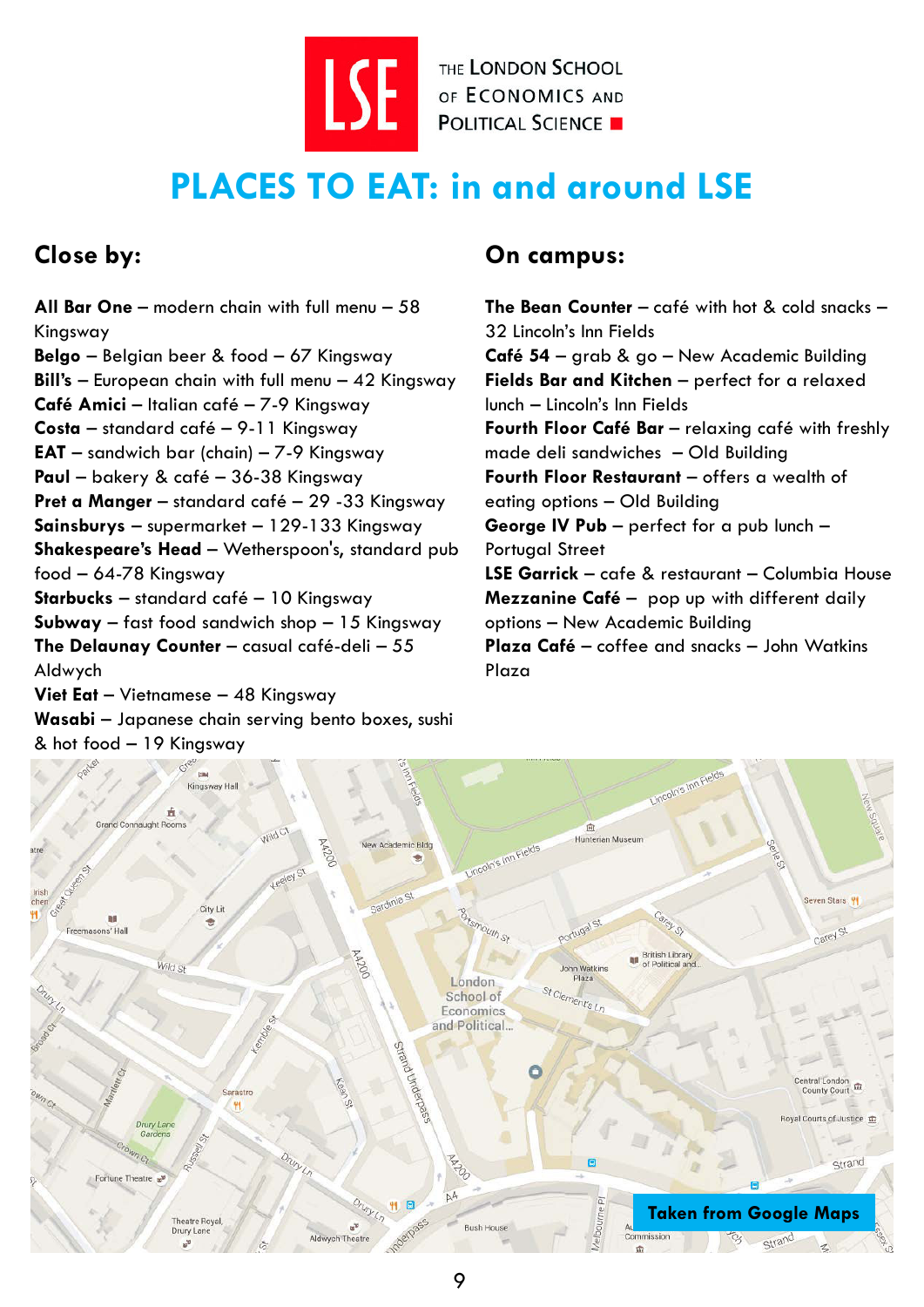THE LONDON SCHOOL THE LONDON SCHOOL

## **PLACES TO EAT: in and around LSE**

## **Close by:**

**All Bar One** – modern chain with full menu – 58 Kingsway **Belgo** – Belgian beer & food – 67 Kingsway **Bill's** – European chain with full menu – 42 Kingsway **Café Amici** – Italian café – 7-9 Kingsway **Costa** – standard café – 9-11 Kingsway **EAT** – sandwich bar (chain) – 7-9 Kingsway **Paul** – bakery & café – 36-38 Kingsway **Pret a Manger** – standard café – 29 -33 Kingsway **Sainsburys** – supermarket – 129-133 Kingsway **Shakespeare's Head** – Wetherspoon's, standard pub food – 64-78 Kingsway **Starbucks** – standard café – 10 Kingsway **Subway** – fast food sandwich shop – 15 Kingsway **The Delaunay Counter** – casual café-deli – 55 Aldwych **Viet Eat** – Vietnamese – 48 Kingsway **Wasabi** – Japanese chain serving bento boxes, sushi & hot food – 19 Kingsway

## **On campus:**

**The Bean Counter** – café with hot & cold snacks – 32 Lincoln's Inn Fields **Café 54** – grab & go – New Academic Building **Fields Bar and Kitchen** – perfect for a relaxed lunch – Lincoln's Inn Fields Fourth Floor Café Bar - relaxing café with freshly made deli sandwiches – Old Building **Fourth Floor Restaurant** – offers a wealth of eating options – Old Building **George IV Pub** – perfect for a pub lunch – Portugal Street **LSE Garrick** – cafe & restaurant – Columbia House **Mezzanine Café** – pop up with different daily options – New Academic Building **Plaza Café** – coffee and snacks – John Watkins Plaza